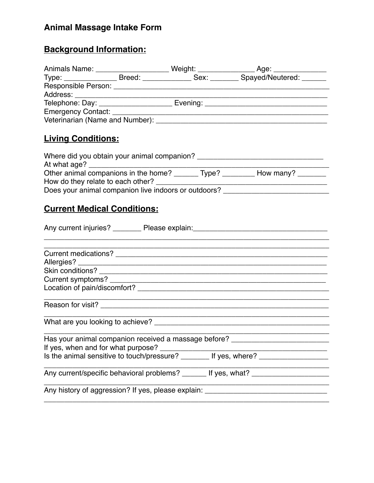# **Animal Massage Intake Form**

# **Background Information:**

| <b>Living Conditions:</b>          |                                                                                                                                             |
|------------------------------------|---------------------------------------------------------------------------------------------------------------------------------------------|
|                                    |                                                                                                                                             |
|                                    |                                                                                                                                             |
|                                    |                                                                                                                                             |
|                                    | Does your animal companion live indoors or outdoors? ___________________________                                                            |
|                                    |                                                                                                                                             |
| <b>Current Medical Conditions:</b> |                                                                                                                                             |
|                                    | Any current injuries? __________ Please explain: ________________________________                                                           |
|                                    |                                                                                                                                             |
|                                    |                                                                                                                                             |
|                                    |                                                                                                                                             |
|                                    |                                                                                                                                             |
|                                    |                                                                                                                                             |
|                                    |                                                                                                                                             |
|                                    |                                                                                                                                             |
|                                    | <u> 1980 - Johann John Stone, mars et al. (b. 1980)</u><br>Has your animal companion received a massage before? ___________________________ |
| If yes, when and for what purpose? |                                                                                                                                             |
|                                    |                                                                                                                                             |
|                                    | Any current/specific behavioral problems? _______ If yes, what? _________________                                                           |
|                                    | Any history of aggression? If yes, please explain: ______________________________                                                           |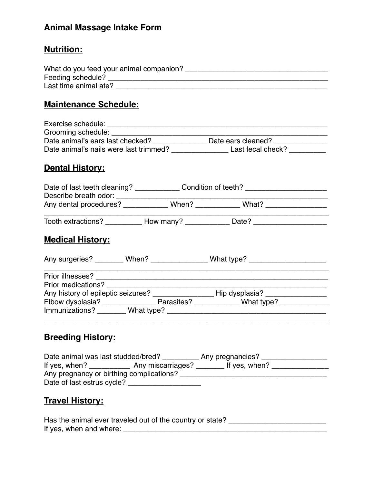# **Animal Massage Intake Form**

### **Nutrition:**

| What do you feed your animal companion? |  |
|-----------------------------------------|--|
| Feeding schedule?                       |  |
| Last time animal ate?                   |  |

#### **Maintenance Schedule:**

| Exercise schedule:                     |                    |
|----------------------------------------|--------------------|
| Grooming schedule:                     |                    |
| Date animal's ears last checked?       | Date ears cleaned? |
| Date animal's nails were last trimmed? | Last fecal check?  |

#### **Dental History:**

| Date of last teeth cleaning?<br>Describe breath odor: |       | Condition of teeth? |  |
|-------------------------------------------------------|-------|---------------------|--|
| Any dental procedures?                                | When? | What?               |  |

Tooth extractions? \_\_\_\_\_\_\_\_\_\_\_ How many? \_\_\_\_\_\_\_\_\_\_\_\_ Date? \_\_\_\_\_\_\_\_\_\_\_\_\_\_\_\_\_\_\_\_

# **Medical History:**

| Any surgeries?<br>When?                                                                                                                  | What type? $\sqrt{2\pi}$ |  |
|------------------------------------------------------------------------------------------------------------------------------------------|--------------------------|--|
| Prior illnesses?<br><u> 1980 - Jan Stein Stein Stein Stein Stein Stein Stein Stein Stein Stein Stein Stein Stein Stein Stein Stein S</u> |                          |  |
| Prior medications?                                                                                                                       |                          |  |
| Any history of epileptic seizures?                                                                                                       | Hip dysplasia?           |  |
| Elbow dysplasia? _____________                                                                                                           | Parasites? What type?    |  |
| Immunizations? ________What type?                                                                                                        |                          |  |
|                                                                                                                                          |                          |  |

### **Breeding History:**

| Date animal was last studded/bred?       |                   | Any pregnancies? |  |
|------------------------------------------|-------------------|------------------|--|
| If yes, when?                            | Any miscarriages? | If yes, when?    |  |
| Any pregnancy or birthing complications? |                   |                  |  |
| Date of last estrus cycle?               |                   |                  |  |

# **Travel History:**

| Has the animal ever traveled out of the country or state? |  |
|-----------------------------------------------------------|--|
| If yes, when and where:                                   |  |